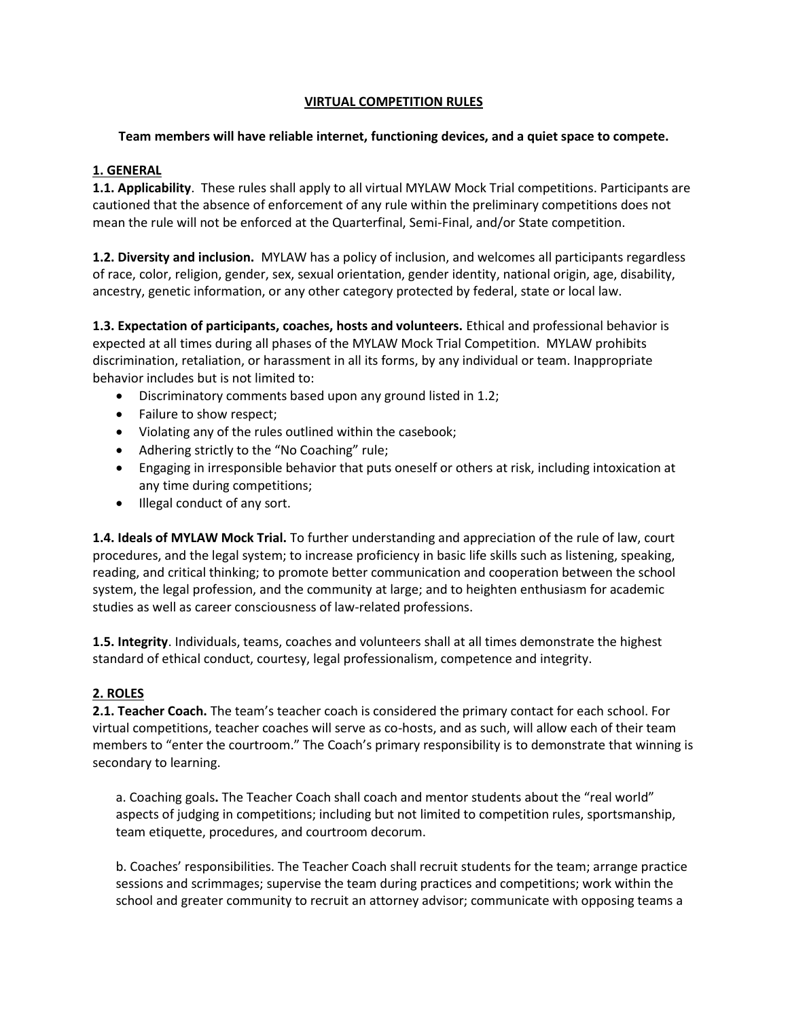#### **VIRTUAL COMPETITION RULES**

#### **Team members will have reliable internet, functioning devices, and a quiet space to compete.**

# **1. GENERAL**

**1.1. Applicability**. These rules shall apply to all virtual MYLAW Mock Trial competitions. Participants are cautioned that the absence of enforcement of any rule within the preliminary competitions does not mean the rule will not be enforced at the Quarterfinal, Semi-Final, and/or State competition.

**1.2. Diversity and inclusion.** MYLAW has a policy of inclusion, and welcomes all participants regardless of race, color, religion, gender, sex, sexual orientation, gender identity, national origin, age, disability, ancestry, genetic information, or any other category protected by federal, state or local law.

**1.3. Expectation of participants, coaches, hosts and volunteers.** Ethical and professional behavior is expected at all times during all phases of the MYLAW Mock Trial Competition. MYLAW prohibits discrimination, retaliation, or harassment in all its forms, by any individual or team. Inappropriate behavior includes but is not limited to:

- Discriminatory comments based upon any ground listed in 1.2;
- Failure to show respect;
- Violating any of the rules outlined within the casebook;
- Adhering strictly to the "No Coaching" rule;
- Engaging in irresponsible behavior that puts oneself or others at risk, including intoxication at any time during competitions;
- Illegal conduct of any sort.

**1.4. Ideals of MYLAW Mock Trial.** To further understanding and appreciation of the rule of law, court procedures, and the legal system; to increase proficiency in basic life skills such as listening, speaking, reading, and critical thinking; to promote better communication and cooperation between the school system, the legal profession, and the community at large; and to heighten enthusiasm for academic studies as well as career consciousness of law-related professions.

**1.5. Integrity**. Individuals, teams, coaches and volunteers shall at all times demonstrate the highest standard of ethical conduct, courtesy, legal professionalism, competence and integrity.

# **2. ROLES**

**2.1. Teacher Coach.** The team's teacher coach is considered the primary contact for each school. For virtual competitions, teacher coaches will serve as co-hosts, and as such, will allow each of their team members to "enter the courtroom." The Coach's primary responsibility is to demonstrate that winning is secondary to learning.

a. Coaching goals**.** The Teacher Coach shall coach and mentor students about the "real world" aspects of judging in competitions; including but not limited to competition rules, sportsmanship, team etiquette, procedures, and courtroom decorum.

b. Coaches' responsibilities. The Teacher Coach shall recruit students for the team; arrange practice sessions and scrimmages; supervise the team during practices and competitions; work within the school and greater community to recruit an attorney advisor; communicate with opposing teams a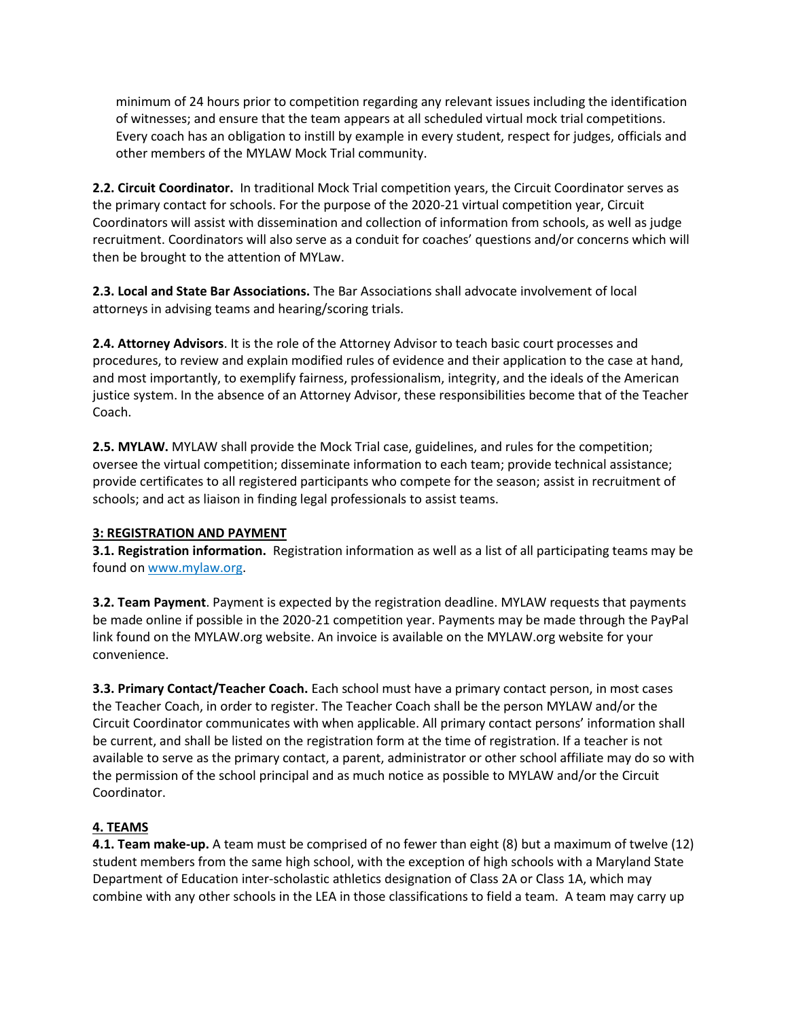minimum of 24 hours prior to competition regarding any relevant issues including the identification of witnesses; and ensure that the team appears at all scheduled virtual mock trial competitions. Every coach has an obligation to instill by example in every student, respect for judges, officials and other members of the MYLAW Mock Trial community.

**2.2. Circuit Coordinator.** In traditional Mock Trial competition years, the Circuit Coordinator serves as the primary contact for schools. For the purpose of the 2020-21 virtual competition year, Circuit Coordinators will assist with dissemination and collection of information from schools, as well as judge recruitment. Coordinators will also serve as a conduit for coaches' questions and/or concerns which will then be brought to the attention of MYLaw.

**2.3. Local and State Bar Associations.** The Bar Associations shall advocate involvement of local attorneys in advising teams and hearing/scoring trials.

**2.4. Attorney Advisors**. It is the role of the Attorney Advisor to teach basic court processes and procedures, to review and explain modified rules of evidence and their application to the case at hand, and most importantly, to exemplify fairness, professionalism, integrity, and the ideals of the American justice system. In the absence of an Attorney Advisor, these responsibilities become that of the Teacher Coach.

**2.5. MYLAW.** MYLAW shall provide the Mock Trial case, guidelines, and rules for the competition; oversee the virtual competition; disseminate information to each team; provide technical assistance; provide certificates to all registered participants who compete for the season; assist in recruitment of schools; and act as liaison in finding legal professionals to assist teams.

# **3: REGISTRATION AND PAYMENT**

**3.1. Registration information.** Registration information as well as a list of all participating teams may be found on [www.mylaw.org.](http://www.mylaw.org/)

**3.2. Team Payment**. Payment is expected by the registration deadline. MYLAW requests that payments be made online if possible in the 2020-21 competition year. Payments may be made through the PayPal link found on the MYLAW.org website. An invoice is available on the MYLAW.org website for your convenience.

**3.3. Primary Contact/Teacher Coach.** Each school must have a primary contact person, in most cases the Teacher Coach, in order to register. The Teacher Coach shall be the person MYLAW and/or the Circuit Coordinator communicates with when applicable. All primary contact persons' information shall be current, and shall be listed on the registration form at the time of registration. If a teacher is not available to serve as the primary contact, a parent, administrator or other school affiliate may do so with the permission of the school principal and as much notice as possible to MYLAW and/or the Circuit Coordinator.

# **4. TEAMS**

**4.1. Team make-up.** A team must be comprised of no fewer than eight (8) but a maximum of twelve (12) student members from the same high school, with the exception of high schools with a Maryland State Department of Education inter-scholastic athletics designation of Class 2A or Class 1A, which may combine with any other schools in the LEA in those classifications to field a team. A team may carry up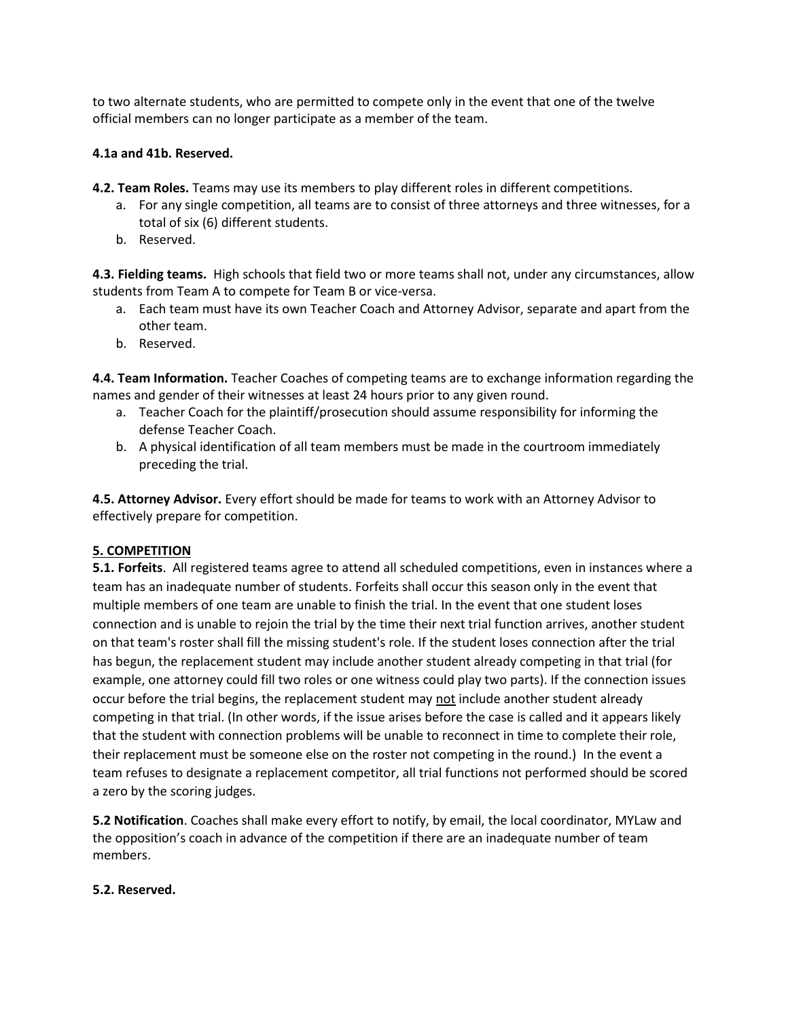to two alternate students, who are permitted to compete only in the event that one of the twelve official members can no longer participate as a member of the team.

#### **4.1a and 41b. Reserved.**

**4.2. Team Roles.** Teams may use its members to play different roles in different competitions.

- a. For any single competition, all teams are to consist of three attorneys and three witnesses, for a total of six (6) different students.
- b. Reserved.

**4.3. Fielding teams.** High schools that field two or more teams shall not, under any circumstances, allow students from Team A to compete for Team B or vice-versa.

- a. Each team must have its own Teacher Coach and Attorney Advisor, separate and apart from the other team.
- b. Reserved.

**4.4. Team Information.** Teacher Coaches of competing teams are to exchange information regarding the names and gender of their witnesses at least 24 hours prior to any given round.

- a. Teacher Coach for the plaintiff/prosecution should assume responsibility for informing the defense Teacher Coach.
- b. A physical identification of all team members must be made in the courtroom immediately preceding the trial.

**4.5. Attorney Advisor.** Every effort should be made for teams to work with an Attorney Advisor to effectively prepare for competition.

# **5. COMPETITION**

**5.1. Forfeits**. All registered teams agree to attend all scheduled competitions, even in instances where a team has an inadequate number of students. Forfeits shall occur this season only in the event that multiple members of one team are unable to finish the trial. In the event that one student loses connection and is unable to rejoin the trial by the time their next trial function arrives, another student on that team's roster shall fill the missing student's role. If the student loses connection after the trial has begun, the replacement student may include another student already competing in that trial (for example, one attorney could fill two roles or one witness could play two parts). If the connection issues occur before the trial begins, the replacement student may not include another student already competing in that trial. (In other words, if the issue arises before the case is called and it appears likely that the student with connection problems will be unable to reconnect in time to complete their role, their replacement must be someone else on the roster not competing in the round.) In the event a team refuses to designate a replacement competitor, all trial functions not performed should be scored a zero by the scoring judges.

**5.2 Notification**. Coaches shall make every effort to notify, by email, the local coordinator, MYLaw and the opposition's coach in advance of the competition if there are an inadequate number of team members.

#### **5.2. Reserved.**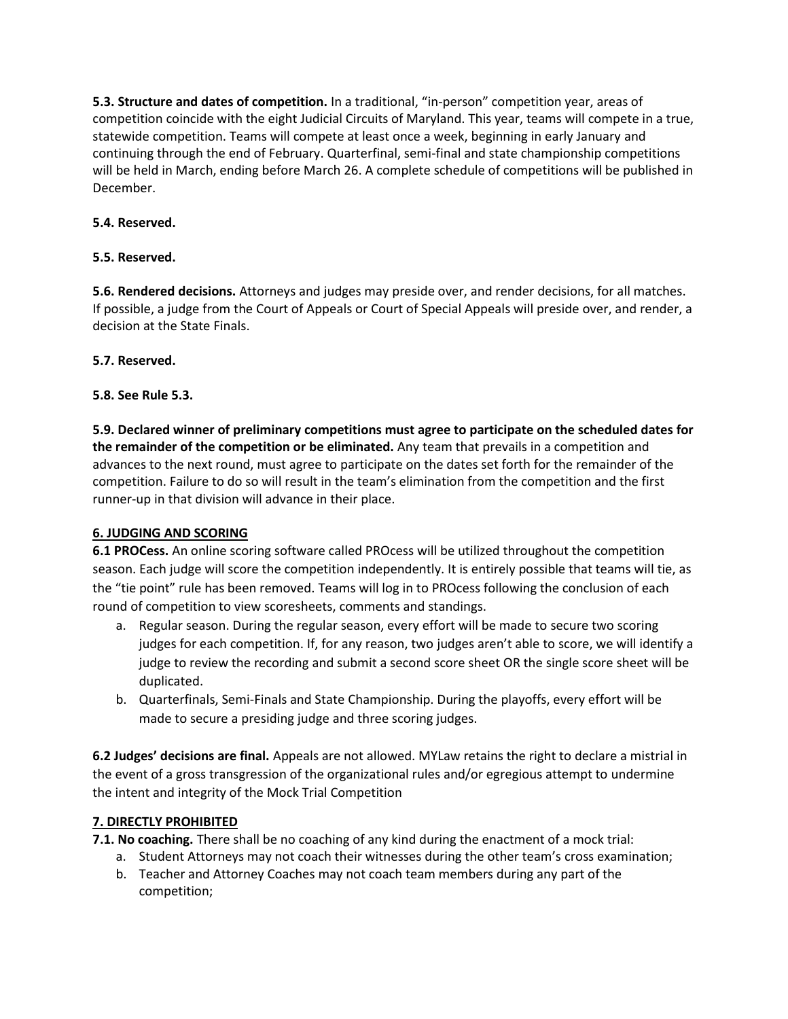**5.3. Structure and dates of competition.** In a traditional, "in-person" competition year, areas of competition coincide with the eight Judicial Circuits of Maryland. This year, teams will compete in a true, statewide competition. Teams will compete at least once a week, beginning in early January and continuing through the end of February. Quarterfinal, semi-final and state championship competitions will be held in March, ending before March 26. A complete schedule of competitions will be published in December.

# **5.4. Reserved.**

# **5.5. Reserved.**

**5.6. Rendered decisions.** Attorneys and judges may preside over, and render decisions, for all matches. If possible, a judge from the Court of Appeals or Court of Special Appeals will preside over, and render, a decision at the State Finals.

# **5.7. Reserved.**

# **5.8. See Rule 5.3.**

**5.9. Declared winner of preliminary competitions must agree to participate on the scheduled dates for the remainder of the competition or be eliminated.** Any team that prevails in a competition and advances to the next round, must agree to participate on the dates set forth for the remainder of the competition. Failure to do so will result in the team's elimination from the competition and the first runner-up in that division will advance in their place.

# **6. JUDGING AND SCORING**

**6.1 PROCess.** An online scoring software called PROcess will be utilized throughout the competition season. Each judge will score the competition independently. It is entirely possible that teams will tie, as the "tie point" rule has been removed. Teams will log in to PROcess following the conclusion of each round of competition to view scoresheets, comments and standings.

- a. Regular season. During the regular season, every effort will be made to secure two scoring judges for each competition. If, for any reason, two judges aren't able to score, we will identify a judge to review the recording and submit a second score sheet OR the single score sheet will be duplicated.
- b. Quarterfinals, Semi-Finals and State Championship. During the playoffs, every effort will be made to secure a presiding judge and three scoring judges.

**6.2 Judges' decisions are final.** Appeals are not allowed. MYLaw retains the right to declare a mistrial in the event of a gross transgression of the organizational rules and/or egregious attempt to undermine the intent and integrity of the Mock Trial Competition

# **7. DIRECTLY PROHIBITED**

**7.1. No coaching.** There shall be no coaching of any kind during the enactment of a mock trial:

- a. Student Attorneys may not coach their witnesses during the other team's cross examination;
- b. Teacher and Attorney Coaches may not coach team members during any part of the competition;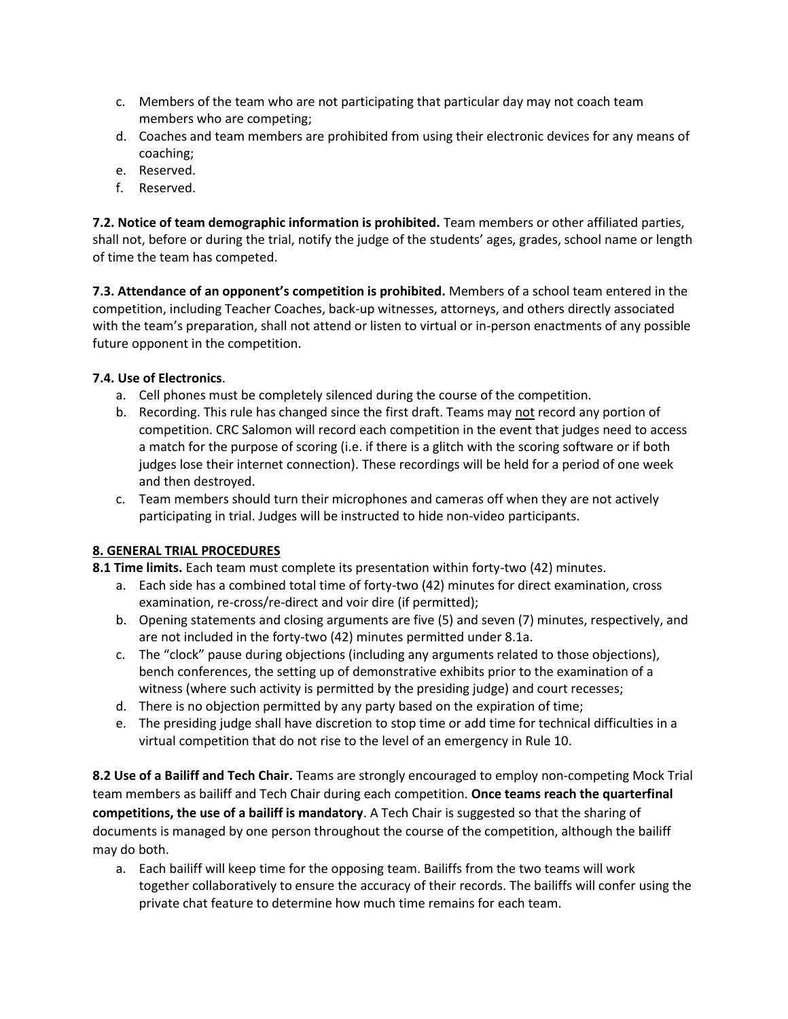- c. Members of the team who are not participating that particular day may not coach team members who are competing;
- d. Coaches and team members are prohibited from using their electronic devices for any means of coaching;
- e. Reserved.
- f. Reserved.

**7.2. Notice of team demographic information is prohibited.** Team members or other affiliated parties, shall not, before or during the trial, notify the judge of the students' ages, grades, school name or length of time the team has competed.

**7.3. Attendance of an opponent's competition is prohibited.** Members of a school team entered in the competition, including Teacher Coaches, back-up witnesses, attorneys, and others directly associated with the team's preparation, shall not attend or listen to virtual or in-person enactments of any possible future opponent in the competition.

# **7.4. Use of Electronics**.

- a. Cell phones must be completely silenced during the course of the competition.
- b. Recording. This rule has changed since the first draft. Teams may not record any portion of competition. CRC Salomon will record each competition in the event that judges need to access a match for the purpose of scoring (i.e. if there is a glitch with the scoring software or if both judges lose their internet connection). These recordings will be held for a period of one week and then destroyed.
- c. Team members should turn their microphones and cameras off when they are not actively participating in trial. Judges will be instructed to hide non-video participants.

# **8. GENERAL TRIAL PROCEDURES**

- **8.1 Time limits.** Each team must complete its presentation within forty-two (42) minutes.
	- a. Each side has a combined total time of forty-two (42) minutes for direct examination, cross examination, re-cross/re-direct and voir dire (if permitted);
	- b. Opening statements and closing arguments are five (5) and seven (7) minutes, respectively, and are not included in the forty-two (42) minutes permitted under 8.1a.
	- c. The "clock" pause during objections (including any arguments related to those objections), bench conferences, the setting up of demonstrative exhibits prior to the examination of a witness (where such activity is permitted by the presiding judge) and court recesses;
	- d. There is no objection permitted by any party based on the expiration of time;
	- e. The presiding judge shall have discretion to stop time or add time for technical difficulties in a virtual competition that do not rise to the level of an emergency in Rule 10.

**8.2 Use of a Bailiff and Tech Chair.** Teams are strongly encouraged to employ non-competing Mock Trial team members as bailiff and Tech Chair during each competition. **Once teams reach the quarterfinal competitions, the use of a bailiff is mandatory**. A Tech Chair is suggested so that the sharing of documents is managed by one person throughout the course of the competition, although the bailiff may do both.

a. Each bailiff will keep time for the opposing team. Bailiffs from the two teams will work together collaboratively to ensure the accuracy of their records. The bailiffs will confer using the private chat feature to determine how much time remains for each team.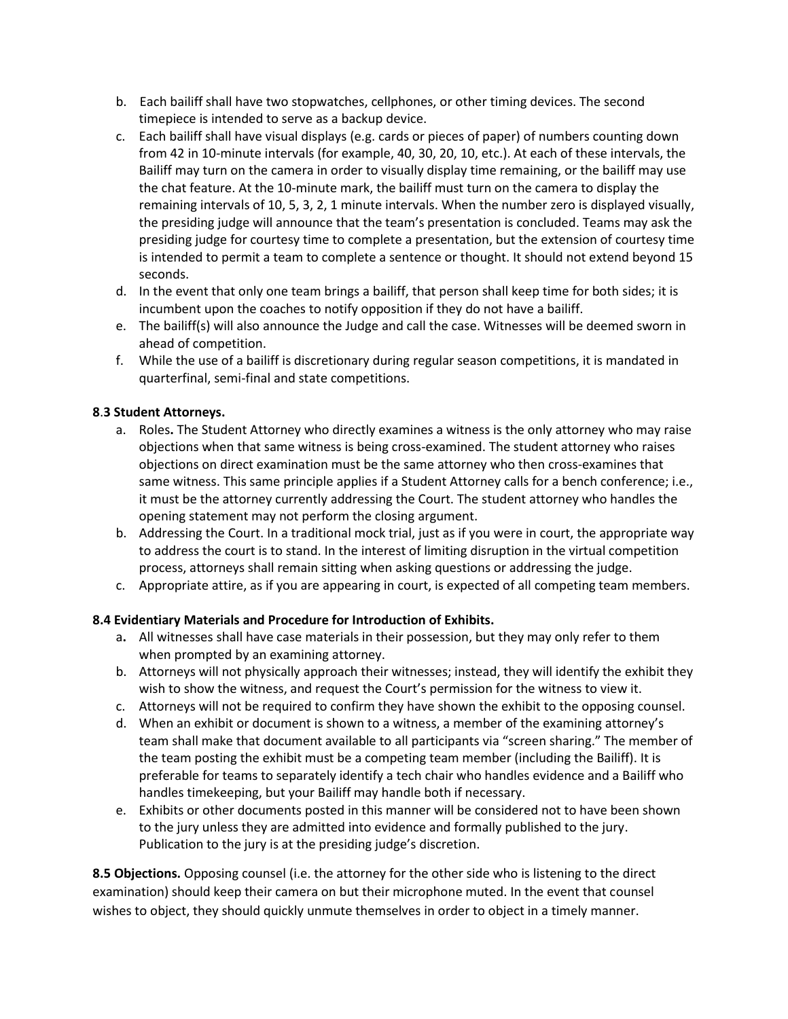- b. Each bailiff shall have two stopwatches, cellphones, or other timing devices. The second timepiece is intended to serve as a backup device.
- c. Each bailiff shall have visual displays (e.g. cards or pieces of paper) of numbers counting down from 42 in 10-minute intervals (for example, 40, 30, 20, 10, etc.). At each of these intervals, the Bailiff may turn on the camera in order to visually display time remaining, or the bailiff may use the chat feature. At the 10-minute mark, the bailiff must turn on the camera to display the remaining intervals of 10, 5, 3, 2, 1 minute intervals. When the number zero is displayed visually, the presiding judge will announce that the team's presentation is concluded. Teams may ask the presiding judge for courtesy time to complete a presentation, but the extension of courtesy time is intended to permit a team to complete a sentence or thought. It should not extend beyond 15 seconds.
- d. In the event that only one team brings a bailiff, that person shall keep time for both sides; it is incumbent upon the coaches to notify opposition if they do not have a bailiff.
- e. The bailiff(s) will also announce the Judge and call the case. Witnesses will be deemed sworn in ahead of competition.
- f. While the use of a bailiff is discretionary during regular season competitions, it is mandated in quarterfinal, semi-final and state competitions.

#### **8**.**3 Student Attorneys.**

- a. Roles**.** The Student Attorney who directly examines a witness is the only attorney who may raise objections when that same witness is being cross-examined. The student attorney who raises objections on direct examination must be the same attorney who then cross-examines that same witness. This same principle applies if a Student Attorney calls for a bench conference; i.e., it must be the attorney currently addressing the Court. The student attorney who handles the opening statement may not perform the closing argument.
- b. Addressing the Court. In a traditional mock trial, just as if you were in court, the appropriate way to address the court is to stand. In the interest of limiting disruption in the virtual competition process, attorneys shall remain sitting when asking questions or addressing the judge.
- c. Appropriate attire, as if you are appearing in court, is expected of all competing team members.

# **8.4 Evidentiary Materials and Procedure for Introduction of Exhibits.**

- a**.** All witnesses shall have case materials in their possession, but they may only refer to them when prompted by an examining attorney.
- b. Attorneys will not physically approach their witnesses; instead, they will identify the exhibit they wish to show the witness, and request the Court's permission for the witness to view it.
- c. Attorneys will not be required to confirm they have shown the exhibit to the opposing counsel.
- d. When an exhibit or document is shown to a witness, a member of the examining attorney's team shall make that document available to all participants via "screen sharing." The member of the team posting the exhibit must be a competing team member (including the Bailiff). It is preferable for teams to separately identify a tech chair who handles evidence and a Bailiff who handles timekeeping, but your Bailiff may handle both if necessary.
- e. Exhibits or other documents posted in this manner will be considered not to have been shown to the jury unless they are admitted into evidence and formally published to the jury. Publication to the jury is at the presiding judge's discretion.

**8.5 Objections.** Opposing counsel (i.e. the attorney for the other side who is listening to the direct examination) should keep their camera on but their microphone muted. In the event that counsel wishes to object, they should quickly unmute themselves in order to object in a timely manner.